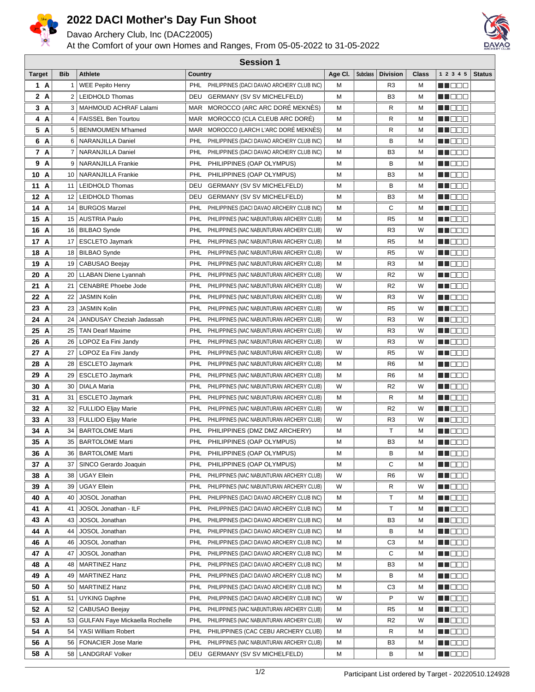

## **2022 DACI Mother's Day Fun Shoot**

Davao Archery Club, Inc (DAC22005)

At the Comfort of your own Homes and Ranges, From 05-05-2022 to 31-05-2022



| <b>Session 1</b> |                |                                       |                                                         |         |                 |                 |       |                      |               |
|------------------|----------------|---------------------------------------|---------------------------------------------------------|---------|-----------------|-----------------|-------|----------------------|---------------|
| Target           | <b>Bib</b>     | <b>Athlete</b>                        | Country                                                 | Age Cl. | <b>Subclass</b> | <b>Division</b> | Class | 1 2 3 4 5            | <b>Status</b> |
| 1 A              | 1              | <b>WEE Pepito Henry</b>               | PHL PHILIPPINES (DACI DAVAO ARCHERY CLUB INC)           | м       |                 | R <sub>3</sub>  | М     | MU DE S              |               |
| 2 A              | 2 <sup>2</sup> | <b>LEIDHOLD Thomas</b>                | DEU<br><b>GERMANY (SV SV MICHELFELD)</b>                | м       |                 | B <sub>3</sub>  | М     | MU DE S              |               |
| 3 A              | 3              | MAHMOUD ACHRAF Lalami                 | MOROCCO (ARC ARC DORE MEKNES)<br>MAR                    | M       |                 | R               | М     | MU DE S              |               |
| 4 A              | 4              | <b>FAISSEL Ben Tourtou</b>            | MOROCCO (CLA CLEUB ARC DORE)<br>MAR                     | M       |                 | R               | М     | M DEE                |               |
| 5 A              |                | 5   BENMOUMEN M'hamed                 | MOROCCO (LARCH L'ARC DORÉ MEKNÉS)<br>MAR                | M       |                 | R               | М     | <u>en de la</u>      |               |
| 6 A              | 6              | NARANJILLA Daniel                     | PHL<br>PHILIPPINES (DACI DAVAO ARCHERY CLUB INC)        | M       |                 | В               | М     | MN 88 E              |               |
| 7 A              | $\overline{7}$ | <b>NARANJILLA Daniel</b>              | PHL<br>PHILIPPINES (DACI DAVAO ARCHERY CLUB INC)        | M       |                 | B <sub>3</sub>  | М     | M DOO                |               |
| 9 A              | 9              | NARANJILLA Frankie                    | PHL<br>PHILIPPINES (OAP OLYMPUS)                        | M       |                 | В               | М     | MINE E E             |               |
| 10 A             | 10             | <b>NARANJILLA Frankie</b>             | PHL<br>PHILIPPINES (OAP OLYMPUS)                        | м       |                 | B3              | М     | <u>Li i Biblio</u>   |               |
| 11 A             | 11             | LEIDHOLD Thomas                       | DEU<br><b>GERMANY (SV SV MICHELFELD)</b>                | м       |                 | в               | М     | M DE E               |               |
| 12 A             | 12             | LEIDHOLD Thomas                       | DEU<br><b>GERMANY (SV SV MICHELFELD)</b>                | м       |                 | B <sub>3</sub>  | М     | <u>Li Bee</u>        |               |
| 14 A             | 14             | <b>BURGOS Marzel</b>                  | PHL<br>PHILIPPINES (DACI DAVAO ARCHERY CLUB INC)        | м       |                 | С               | М     | <u>Li i Biblio</u>   |               |
| 15 A             | 15             | <b>AUSTRIA Paulo</b>                  | PHL<br>PHILIPPINES (NAC NABUNTURAN ARCHERY CLUB)        | M       |                 | R5              | М     | ME DE S              |               |
| 16 A             |                | 16   BILBAO Synde                     | PHL<br>PHILIPPINES (NAC NABUNTURAN ARCHERY CLUB)        | W       |                 | R <sub>3</sub>  | W     | MA DE C              |               |
| 17 A             | 17             | <b>ESCLETO Jaymark</b>                | PHL<br>PHILIPPINES (NAC NABUNTURAN ARCHERY CLUB)        | м       |                 | R <sub>5</sub>  | М     | M DOO                |               |
| 18 A             |                | 18   BILBAO Synde                     | PHL<br>PHILIPPINES (NAC NABUNTURAN ARCHERY CLUB)        | W       |                 | R5              | W     | <u>Li Bee</u>        |               |
| 19 A             | 19             | CABUSAO Beejay                        | PHL<br>PHILIPPINES (NAC NABUNTURAN ARCHERY CLUB)        | м       |                 | R <sub>3</sub>  | М     | M DE E               |               |
| 20 A             | 20             | <b>LLABAN Diene Lyannah</b>           | PHL<br>PHILIPPINES (NAC NABUNTURAN ARCHERY CLUB)        | W       |                 | R <sub>2</sub>  | W     | MU DE E              |               |
| 21 A             | 21             | <b>CENABRE Phoebe Jode</b>            | PHL<br>PHILIPPINES (NAC NABUNTURAN ARCHERY CLUB)        | W       |                 | R <sub>2</sub>  | W     | MU DE E              |               |
| 22 A             | 22             | <b>JASMIN Kolin</b>                   | PHL<br>PHILIPPINES (NAC NABUNTURAN ARCHERY CLUB)        | W       |                 | R3              | W     | <u>Li Bee</u>        |               |
| 23 A             | 23             | <b>JASMIN Kolin</b>                   | PHL<br>PHILIPPINES (NAC NABUNTURAN ARCHERY CLUB)        | W       |                 | R <sub>5</sub>  | W     | <u>Li Bee</u>        |               |
| 24 A             | 24             | JANDUSAY Cheziah Jadassah             | PHL<br>PHILIPPINES (NAC NABUNTURAN ARCHERY CLUB)        | W       |                 | R <sub>3</sub>  | W     | <u>Li i Biblio</u>   |               |
| 25 A             | 25             | <b>TAN Dearl Maxime</b>               | PHL<br>PHILIPPINES (NAC NABUNTURAN ARCHERY CLUB)        | W       |                 | R3              | W     | M DOO                |               |
| 26 A             | 26             | LOPOZ Ea Fini Jandy                   | PHL<br>PHILIPPINES (NAC NABUNTURAN ARCHERY CLUB)        | W       |                 | R3              | W     | M DE E               |               |
| 27 A             | 27             | LOPOZ Ea Fini Jandy                   | PHL<br>PHILIPPINES (NAC NABUNTURAN ARCHERY CLUB)        | W       |                 | R <sub>5</sub>  | W     | M DE E               |               |
| 28 A             | 28             | <b>ESCLETO Jaymark</b>                | PHL<br>PHILIPPINES (NAC NABUNTURAN ARCHERY CLUB)        | м       |                 | R <sub>6</sub>  | M     | MU DO O              |               |
| 29 A             | 29             | <b>ESCLETO Jaymark</b>                | PHL<br>PHILIPPINES (NAC NABUNTURAN ARCHERY CLUB)        | м       |                 | R <sub>6</sub>  | М     | MU DE E              |               |
| 30 A             | 30             | DIALA Maria                           | PHL<br>PHILIPPINES (NAC NABUNTURAN ARCHERY CLUB)        | W       |                 | R <sub>2</sub>  | W     | MI DE S              |               |
| 31 A             | 31             | <b>ESCLETO Jaymark</b>                | PHL<br>PHILIPPINES (NAC NABUNTURAN ARCHERY CLUB)        | М       |                 | R               | М     | <u> HEEE</u>         |               |
| 32 A             | 32             | FULLIDO Eljay Marie                   | PHL<br>PHILIPPINES (NAC NABUNTURAN ARCHERY CLUB)        | W       |                 | R <sub>2</sub>  | W     | MU DE E              |               |
| 33 A             | 33             | <b>FULLIDO Eljay Marie</b>            | PHL<br>PHILIPPINES (NAC NABUNTURAN ARCHERY CLUB)        | W       |                 | R3              | W     | M OO O               |               |
| 34 A             | 34             | <b>BARTOLOME Marti</b>                | PHL<br>PHILIPPINES (DMZ DMZ ARCHERY)                    | м       |                 | т               | М     | MU O O O             |               |
| 35 A             | 35             | <b>BARTOLOME Marti</b>                | PHL<br>PHILIPPINES (OAP OLYMPUS)                        | M       |                 | B3              | М     | M DE E               |               |
| 36 A             | 36             | <b>BARTOLOME Marti</b>                | PHL<br>PHILIPPINES (OAP OLYMPUS)                        | M       |                 | В               | M     | MU DO B              |               |
| 37 A             | 37             | SINCO Gerardo Joaquin                 | PHILIPPINES (OAP OLYMPUS)<br>PHL                        | M       |                 | С               | М     | <u> El El El E</u>   |               |
| 38 A             | 38             | UGAY Ellein                           | PHL<br>PHILIPPINES (NAC NABUNTURAN ARCHERY CLUB)        | W       |                 | R <sub>6</sub>  | W     | <u>LL DE D</u>       |               |
| 39 A             | 39             | <b>UGAY Ellein</b>                    | PHL<br>PHILIPPINES (NAC NABUNTURAN ARCHERY CLUB)        | W       |                 | R               | W     | MU O O O             |               |
| 40 A             | 40             | JOSOL Jonathan                        | PHL<br>PHILIPPINES (DACI DAVAO ARCHERY CLUB INC)        | M       |                 | Τ               | M     | <u> HILLEN</u>       |               |
| 41 A             | 41             | JOSOL Jonathan - ILF                  | PHL<br>PHILIPPINES (DACI DAVAO ARCHERY CLUB INC)        | м       |                 | Τ               | М     | MU DO 8              |               |
| 43 A             | 43             | JOSOL Jonathan                        | PHL<br>PHILIPPINES (DACI DAVAO ARCHERY CLUB INC)        | м       |                 | B3              | М     | <u> Lietus e</u>     |               |
| 44 A             | 44             | JOSOL Jonathan                        | PHL<br>PHILIPPINES (DACI DAVAO ARCHERY CLUB INC)        | м       |                 | В               | М     | <u> Here de la </u>  |               |
| 46 A             | 46             | <b>JOSOL</b> Jonathan                 | <b>PHL</b><br>PHILIPPINES (DACI DAVAO ARCHERY CLUB INC) | м       |                 | C3              | М     | ma di B              |               |
| 47 A             | 47             | JOSOL Jonathan                        | PHL<br>PHILIPPINES (DACI DAVAO ARCHERY CLUB INC)        | м       |                 | С               | М     | <u> HILLEN</u>       |               |
| 48 A             | 48             | <b>MARTINEZ Hanz</b>                  | PHL<br>PHILIPPINES (DACI DAVAO ARCHERY CLUB INC)        | м       |                 | B3              | М     | MU DE S              |               |
| 49 A             | 49             | <b>MARTINEZ Hanz</b>                  | PHL<br>PHILIPPINES (DACI DAVAO ARCHERY CLUB INC)        | M       |                 | В               | М     | MU DE B              |               |
| 50 A             | 50             | <b>MARTINEZ Hanz</b>                  | PHL<br>PHILIPPINES (DACI DAVAO ARCHERY CLUB INC)        | M       |                 | C3              | М     | <u> HILLEN</u>       |               |
| 51 A             | 51             | UYKING Daphne                         | PHILIPPINES (DACI DAVAO ARCHERY CLUB INC)<br>PHL        | W       |                 | Ρ               | W     | MN OO O              |               |
| 52 A             | 52             | CABUSAO Beejay                        | PHL<br>PHILIPPINES (NAC NABUNTURAN ARCHERY CLUB)        | м       |                 | R5              | М     | MI DE S              |               |
| 53 A             | 53             | <b>GULFAN Faye Mickaella Rochelle</b> | PHL<br>PHILIPPINES (NAC NABUNTURAN ARCHERY CLUB)        | W       |                 | R <sub>2</sub>  | W     | <u> Halia di Bi</u>  |               |
| 54 A             | 54             | YASI William Robert                   | PHL<br>PHILIPPINES (CAC CEBU ARCHERY CLUB)              | M       |                 | R               | М     | <u> Halia de la </u> |               |
| 56 A             | 56             | <b>FONACIER Jose Marie</b>            | PHL<br>PHILIPPINES (NAC NABUNTURAN ARCHERY CLUB)        | м       |                 | B3              | М     | MI DE S              |               |
| 58 A             | 58             | <b>LANDGRAF Volker</b>                | DEU GERMANY (SV SV MICHELFELD)                          | м       |                 | В               | М     | <u> Halen</u>        |               |